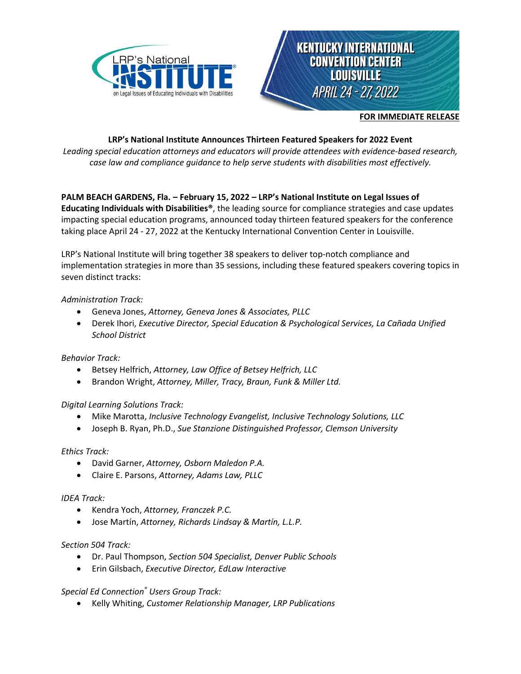



#### **FOR IMMEDIATE RELEASE**

# **LRP's National Institute Announces Thirteen Featured Speakers for 2022 Event**

*Leading special education attorneys and educators will provide attendees with evidence-based research, case law and compliance guidance to help serve students with disabilities most effectively.*

# **PALM BEACH GARDENS, Fla. – February 15, 2022 – LRP's National Institute on Legal Issues of**

**Educating Individuals with Disabilities®**, the leading source for compliance strategies and case updates impacting special education programs, announced today thirteen featured speakers for the conference taking place April 24 - 27, 2022 at the Kentucky International Convention Center in Louisville.

LRP's National Institute will bring together 38 speakers to deliver top-notch compliance and implementation strategies in more than 35 sessions, including these featured speakers covering topics in seven distinct tracks:

## *Administration Track:*

- Geneva Jones, *Attorney, Geneva Jones & Associates, PLLC*
- Derek Ihori, *Executive Director, Special Education & Psychological Services, La Cañada Unified School District*

## *Behavior Track:*

- Betsey Helfrich, *Attorney, Law Office of Betsey Helfrich, LLC*
- Brandon Wright, *Attorney, Miller, Tracy, Braun, Funk & Miller Ltd.*

## *Digital Learning Solutions Track:*

- Mike Marotta, *Inclusive Technology Evangelist, Inclusive Technology Solutions, LLC*
- Joseph B. Ryan, Ph.D., *Sue Stanzione Distinguished Professor, Clemson University*

## *Ethics Track:*

- David Garner, *Attorney, Osborn Maledon P.A.*
- Claire E. Parsons, *Attorney, Adams Law, PLLC*

## *IDEA Track:*

- Kendra Yoch, *Attorney, Franczek P.C.*
- Jose Martín, *Attorney, Richards Lindsay & Martín, L.L.P.*

## *Section 504 Track:*

- Dr. Paul Thompson, *Section 504 Specialist, Denver Public Schools*
- Erin Gilsbach, *Executive Director, EdLaw Interactive*

## *Special Ed Connection® Users Group Track:*

• Kelly Whiting, *Customer Relationship Manager, LRP Publications*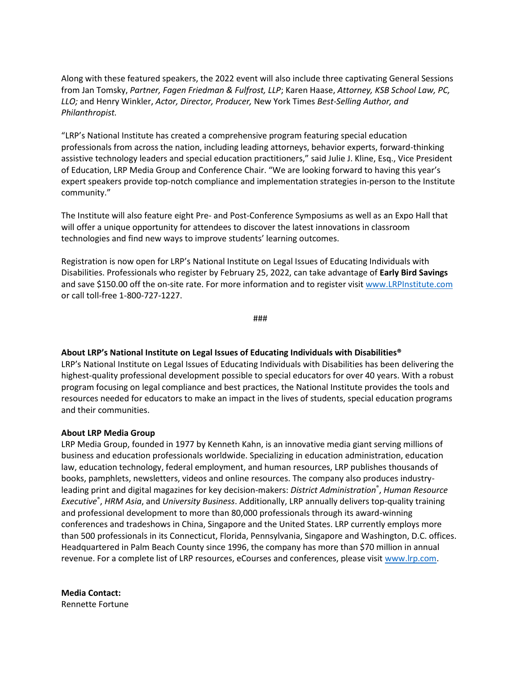Along with these featured speakers, the 2022 event will also include three captivating General Sessions from Jan Tomsky, *Partner, Fagen Friedman & Fulfrost, LLP*; Karen Haase, *Attorney, KSB School Law, PC, LLO;* and Henry Winkler, *Actor, Director, Producer,* New York Times *Best-Selling Author, and Philanthropist.*

"LRP's National Institute has created a comprehensive program featuring special education professionals from across the nation, including leading attorneys, behavior experts, forward-thinking assistive technology leaders and special education practitioners," said Julie J. Kline, Esq., Vice President of Education, LRP Media Group and Conference Chair. "We are looking forward to having this year's expert speakers provide top-notch compliance and implementation strategies in-person to the Institute community."

The Institute will also feature eight Pre- and Post-Conference Symposiums as well as an Expo Hall that will offer a unique opportunity for attendees to discover the latest innovations in classroom technologies and find new ways to improve students' learning outcomes.

Registration is now open for LRP's National Institute on Legal Issues of Educating Individuals with Disabilities. Professionals who register by February 25, 2022, can take advantage of **Early Bird Savings** and save \$150.00 off the on-site rate. For more information and to register visi[t www.LRPInstitute.com](http://www.lrpinstitute.com/) or call toll-free 1-800-727-1227.

###

#### **About LRP's National Institute on Legal Issues of Educating Individuals with Disabilities®**

LRP's National Institute on Legal Issues of Educating Individuals with Disabilities has been delivering the highest-quality professional development possible to special educators for over 40 years. With a robust program focusing on legal compliance and best practices, the National Institute provides the tools and resources needed for educators to make an impact in the lives of students, special education programs and their communities.

#### **About LRP Media Group**

LRP Media Group, founded in 1977 by Kenneth Kahn, is an innovative media giant serving millions of business and education professionals worldwide. Specializing in education administration, education law, education technology, federal employment, and human resources, LRP publishes thousands of books, pamphlets, newsletters, videos and online resources. The company also produces industryleading print and digital magazines for key decision-makers: *District Administration*® , *Human Resource Executive*® , *HRM Asia*, and *University Business*. Additionally, LRP annually delivers top-quality training and professional development to more than 80,000 professionals through its award-winning conferences and tradeshows in China, Singapore and the United States. LRP currently employs more than 500 professionals in its Connecticut, Florida, Pennsylvania, Singapore and Washington, D.C. offices. Headquartered in Palm Beach County since 1996, the company has more than \$70 million in annual revenue. For a complete list of LRP resources, eCourses and conferences, please visit [www.lrp.com.](http://www.lrp.com/)

**Media Contact:** Rennette Fortune